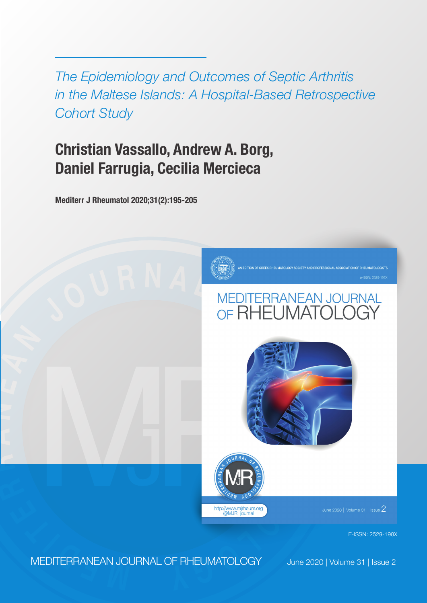*The Epidemiology and Outcomes of Septic Arthritis in the Maltese Islands: A Hospital-Based Retrospective Cohort Study*

# **Christian Vassallo, Andrew A. Borg, Daniel Farrugia, Cecilia Mercieca**

**Mediterr J Rheumatol 2020;31(2):195-205**



# **<sup>J</sup> <sup>O</sup> <sup>U</sup> <sup>R</sup> <sup>N</sup> <sup>A</sup> <sup>L</sup> <sup>O</sup> <sup>F</sup>**





lune 2020 | Volume 31 | Issue  $2\,$ 

E-ISSN: 2529-198X

**<sup>E</sup> <sup>M</sup> <sup>D</sup> <sup>I</sup> <sup>T</sup> <sup>E</sup> <sup>R</sup>** MEDITERRANEAN JOURNAL OF RHEUMATOLOGY

**R**

**A**

**N**

**E**

**A N**

June 2020 | Volume 31 | Issue 2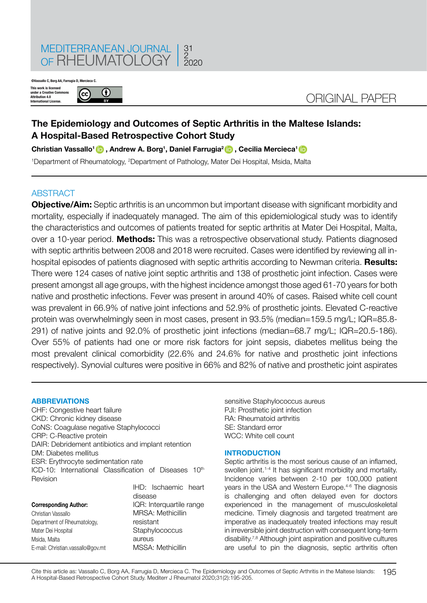

**©Vassallo C, Borg AA, Farrugia D, Mercieca C.**

**This work is licensed under a Creative Commons Attribution 4.0 International License.**



## ORIGINAL PAPER

### **The Epidemiology and Outcomes of Septic Arthritis in the Maltese Islands: A Hospital-Based Retrospective Cohort Study**

**Christian Vassallo[1](https://orcid.org/0000-0001-6294-6748) , Andrew A. Borg<sup>1</sup> , Daniel Farrugia[2](https://orcid.org/0000-0002-6074-5157) , Cecilia Mercieca[1](https://orcid.org/0000-0002-0371-1401)** 

<sup>1</sup>Department of Rheumatology, <sup>2</sup>Department of Pathology, Mater Dei Hospital, Msida, Malta

#### **ABSTRACT**

**Objective/Aim:** Septic arthritis is an uncommon but important disease with significant morbidity and mortality, especially if inadequately managed. The aim of this epidemiological study was to identify the characteristics and outcomes of patients treated for septic arthritis at Mater Dei Hospital, Malta, over a 10-year period. **Methods:** This was a retrospective observational study. Patients diagnosed with septic arthritis between 2008 and 2018 were recruited. Cases were identified by reviewing all inhospital episodes of patients diagnosed with septic arthritis according to Newman criteria. **Results:** There were 124 cases of native joint septic arthritis and 138 of prosthetic joint infection. Cases were present amongst all age groups, with the highest incidence amongst those aged 61-70 years for both native and prosthetic infections. Fever was present in around 40% of cases. Raised white cell count was prevalent in 66.9% of native joint infections and 52.9% of prosthetic joints. Elevated C-reactive protein was overwhelmingly seen in most cases, present in 93.5% (median=159.5 mg/L; IQR=85.8- 291) of native joints and 92.0% of prosthetic joint infections (median=68.7 mg/L; IQR=20.5-186). Over 55% of patients had one or more risk factors for joint sepsis, diabetes mellitus being the most prevalent clinical comorbidity (22.6% and 24.6% for native and prosthetic joint infections respectively). Synovial cultures were positive in 66% and 82% of native and prosthetic joint aspirates

#### **ABBREVIATIONS**

CHF: Congestive heart failure CKD: Chronic kidney disease CoNS: Coagulase negative Staphylococci CRP: C-Reactive protein DAIR: Debridement antibiotics and implant retention DM: Diabetes mellitus ESR: Erythrocyte sedimentation rate ICD-10: International Classification of Diseases  $10<sup>th</sup>$ Revision IHD: Ischaemic heart

|                                   | disease                  |
|-----------------------------------|--------------------------|
| <b>Corresponding Author:</b>      | IQR: Interquartile range |
| Christian Vassallo                | MRSA: Methicillin        |
| Department of Rheumatology,       | resistant                |
| Mater Dei Hospital                | Staphylococcus           |
| Msida, Malta                      | aureus                   |
| E-mail: Christian.vassallo@gov.mt | MSSA: Methicillin        |
|                                   |                          |

sensitive Staphylococcus aureus PJI: Prosthetic joint infection RA: Rheumatoid arthritis SE: Standard error WCC: White cell count

#### **INTRODUCTION**

Septic arthritis is the most serious cause of an inflamed, swollen joint.<sup>1-4</sup> It has significant morbidity and mortality. Incidence varies between 2-10 per 100,000 patient years in the USA and Western Europe.4-6 The diagnosis is challenging and often delayed even for doctors experienced in the management of musculoskeletal medicine. Timely diagnosis and targeted treatment are imperative as inadequately treated infections may result in irreversible joint destruction with consequent long-term disability.<sup>7,8</sup> Although joint aspiration and positive cultures are useful to pin the diagnosis, septic arthritis often

195 Cite this article as: Vassallo C, Borg AA, Farrugia D, Mercieca C. The Epidemiology and Outcomes of Septic Arthritis in the Maltese Islands: A Hospital-Based Retrospective Cohort Study. Mediterr J Rheumatol 2020;31(2):195-205.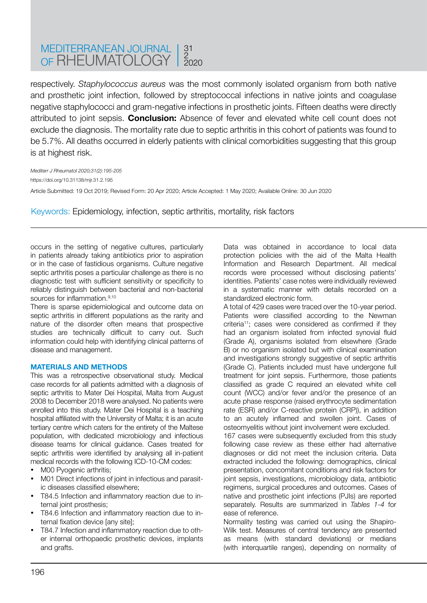#### MEDITERRANEAN JOURNAL OF RHEUMATOLOGY 31 2 2020

respectively. *Staphylococcus aureus* was the most commonly isolated organism from both native and prosthetic joint infection, followed by streptococcal infections in native joints and coagulase negative staphylococci and gram-negative infections in prosthetic joints. Fifteen deaths were directly attributed to joint sepsis. **Conclusion:** Absence of fever and elevated white cell count does not exclude the diagnosis. The mortality rate due to septic arthritis in this cohort of patients was found to be 5.7%. All deaths occurred in elderly patients with clinical comorbidities suggesting that this group is at highest risk.

*Mediterr J Rheumatol 2020;31(2):195-205* https://doi.org/10.31138/mjr.31.2.195 Article Submitted: 19 Oct 2019; Revised Form: 20 Apr 2020; Article Accepted: 1 May 2020; Available Online: 30 Jun 2020

Keywords: Epidemiology, infection, septic arthritis, mortality, risk factors

occurs in the setting of negative cultures, particularly in patients already taking antibiotics prior to aspiration or in the case of fastidious organisms. Culture negative septic arthritis poses a particular challenge as there is no diagnostic test with sufficient sensitivity or specificity to reliably distinguish between bacterial and non-bacterial sources for inflammation.<sup>9,10</sup>

There is sparse epidemiological and outcome data on septic arthritis in different populations as the rarity and nature of the disorder often means that prospective studies are technically difficult to carry out. Such information could help with identifying clinical patterns of disease and management.

#### **MATERIALS AND METHODS**

This was a retrospective observational study. Medical case records for all patients admitted with a diagnosis of septic arthritis to Mater Dei Hospital, Malta from August 2008 to December 2018 were analysed. No patients were enrolled into this study. Mater Dei Hospital is a teaching hospital affiliated with the University of Malta; it is an acute tertiary centre which caters for the entirety of the Maltese population, with dedicated microbiology and infectious disease teams for clinical guidance. Cases treated for septic arthritis were identified by analysing all in-patient medical records with the following ICD-10-CM codes:

- M00 Pvogenic arthritis:
- M01 Direct infections of joint in infectious and parasitic diseases classified elsewhere;
- T84.5 Infection and inflammatory reaction due to internal joint prosthesis:
- T84.6 Infection and inflammatory reaction due to internal fixation device [any site];
- T84.7 Infection and inflammatory reaction due to other internal orthopaedic prosthetic devices, implants and grafts.

Data was obtained in accordance to local data protection policies with the aid of the Malta Health Information and Research Department. All medical records were processed without disclosing patients' identities. Patients' case notes were individually reviewed in a systematic manner with details recorded on a standardized electronic form.

A total of 429 cases were traced over the 10-year period. Patients were classified according to the Newman criteria11; cases were considered as confirmed if they had an organism isolated from infected synovial fluid (Grade A), organisms isolated from elsewhere (Grade B) or no organism isolated but with clinical examination and investigations strongly suggestive of septic arthritis (Grade C). Patients included must have undergone full treatment for joint sepsis. Furthermore, those patients classified as grade C required an elevated white cell count (WCC) and/or fever and/or the presence of an acute phase response (raised erythrocyte sedimentation rate (ESR) and/or C-reactive protein (CRP)), in addition to an acutely inflamed and swollen joint. Cases of osteomyelitis without joint involvement were excluded.

167 cases were subsequently excluded from this study following case review as these either had alternative diagnoses or did not meet the inclusion criteria. Data extracted included the following: demographics, clinical presentation, concomitant conditions and risk factors for joint sepsis, investigations, microbiology data, antibiotic regimens, surgical procedures and outcomes. Cases of native and prosthetic joint infections (PJIs) are reported separately. Results are summarized in *Tables 1-4* for ease of reference.

Normality testing was carried out using the Shapiro-Wilk test. Measures of central tendency are presented as means (with standard deviations) or medians (with interquartile ranges), depending on normality of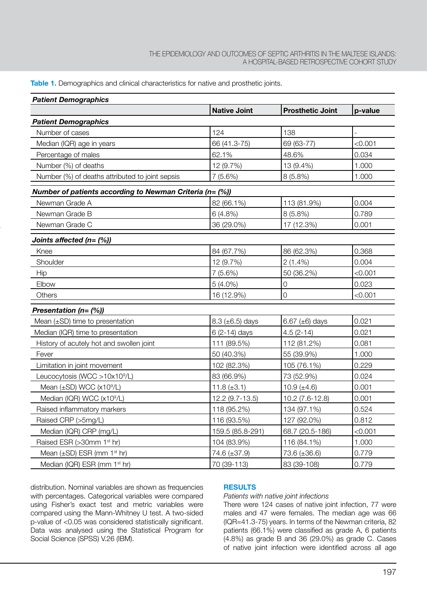#### A HOSPITAL-BASED RETROSPECTIVE COHORT STUDY THE EPIDEMIOLOGY AND OUTCOMES OF SEPTIC ARTHRITIS IN THE MALTESE ISLANDS:

**Table 1.** Demographics and clinical characteristics for native and prosthetic joints.

| <b>Patient Demographics</b>                              |                      |                         |         |  |
|----------------------------------------------------------|----------------------|-------------------------|---------|--|
|                                                          | <b>Native Joint</b>  | <b>Prosthetic Joint</b> | p-value |  |
| <b>Patient Demographics</b>                              |                      |                         |         |  |
| Number of cases                                          | 124                  | 138                     |         |  |
| Median (IQR) age in years                                | 66 (41.3-75)         | 69 (63-77)              | < 0.001 |  |
| Percentage of males                                      | 62.1%                | 48.6%                   | 0.034   |  |
| Number (%) of deaths                                     | 12 (9.7%)            | 13 (9.4%)               | 1.000   |  |
| Number (%) of deaths attributed to joint sepsis          | 7(5.6%)              | 8(5.8%)                 | 1.000   |  |
| Number of patients according to Newman Criteria (n= (%)) |                      |                         |         |  |
| Newman Grade A                                           | 82 (66.1%)           | 113 (81.9%)             | 0.004   |  |
| Newman Grade B                                           | 6(4.8%)              | 8 (5.8%)                | 0.789   |  |
| Newman Grade C                                           | 36 (29.0%)           | 17 (12.3%)              | 0.001   |  |
| Joints affected $(n = (\%)$                              |                      |                         |         |  |
| Knee                                                     | 84 (67.7%)           | 86 (62.3%)              | 0.368   |  |
| Shoulder                                                 | 12 (9.7%)            | $2(1.4\%)$              | 0.004   |  |
| Hip                                                      | 7(5.6%)              | 50 (36.2%)              | < 0.001 |  |
| Elbow                                                    | $5(4.0\%)$           | $\mathbf 0$             | 0.023   |  |
| Others                                                   | 16 (12.9%)           | $\overline{O}$          | < 0.001 |  |
| Presentation $(n = (\%)$                                 |                      |                         |         |  |
| Mean $(\pm SD)$ time to presentation                     | 8.3 $(\pm 6.5)$ days | 6.67 $(\pm 6)$ days     | 0.021   |  |
| Median (IQR) time to presentation                        | 6 (2-14) days        | $4.5(2-14)$             | 0.021   |  |
| History of acutely hot and swollen joint                 | 111 (89.5%)          | 112 (81.2%)             | 0.081   |  |
| Fever                                                    | 50 (40.3%)           | 55 (39.9%)              | 1.000   |  |
| Limitation in joint movement                             | 102 (82.3%)          | 105 (76.1%)             | 0.229   |  |
| Leucocytosis (WCC >10x10 <sup>9</sup> /L)                | 83 (66.9%)           | 73 (52.9%)              | 0.024   |  |
| Mean $(\pm SD)$ WCC $(x10^9/L)$                          | 11.8 $(\pm 3.1)$     | 10.9 $(\pm 4.6)$        | 0.001   |  |
| Median (IQR) WCC (x10 <sup>9</sup> /L)                   | 12.2 (9.7-13.5)      | 10.2 (7.6-12.8)         | 0.001   |  |
| Raised inflammatory markers                              | 118 (95.2%)          | 134 (97.1%)             | 0.524   |  |
| Raised CRP (>5mg/L)                                      | 116 (93.5%)          | 127 (92.0%)             | 0.812   |  |
| Median (IQR) CRP (mg/L)                                  | 159.5 (85.8-291)     | 68.7 (20.5-186)         | < 0.001 |  |
| Raised ESR (>30mm 1 <sup>st</sup> hr)                    | 104 (83.9%)          | 116 (84.1%)             | 1.000   |  |
| Mean $(\pm SD)$ ESR (mm 1 <sup>st</sup> hr)              | 74.6 (±37.9)         | $73.6 (\pm 36.6)$       | 0.779   |  |
| Median (IQR) ESR (mm 1st hr)                             | 70 (39-113)          | 83 (39-108)             | 0.779   |  |

distribution. Nominal variables are shown as frequencies with percentages. Categorical variables were compared using Fisher's exact test and metric variables were compared using the Mann-Whitney U test. A two-sided p-value of <0.05 was considered statistically significant. Data was analysed using the Statistical Program for Social Science (SPSS) V.26 (IBM).

#### **RESULTS**

#### *Patients with native joint infections*

There were 124 cases of native joint infection, 77 were males and 47 were females. The median age was 66 (IQR=41.3-75) years. In terms of the Newman criteria, 82 patients (66.1%) were classified as grade A, 6 patients (4.8%) as grade B and 36 (29.0%) as grade C. Cases of native joint infection were identified across all age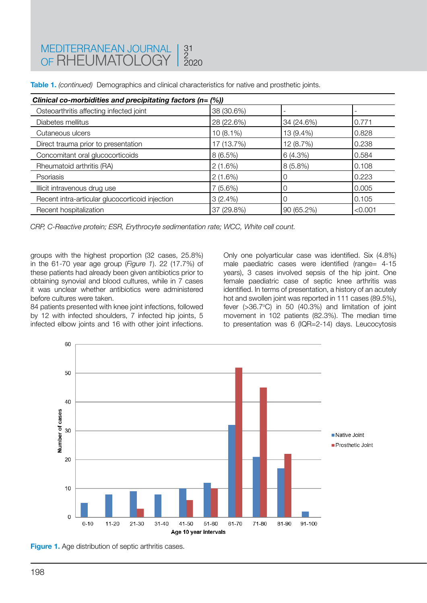| Clinical co-morbidities and precipitating factors ( $n = (\%)$ ) |             |             |         |  |
|------------------------------------------------------------------|-------------|-------------|---------|--|
| Osteoarthritis affecting infected joint                          | 38 (30.6%)  |             |         |  |
| Diabetes mellitus                                                | 28 (22.6%)  | 34 (24.6%)  | 0.771   |  |
| Cutaneous ulcers                                                 | $10(8.1\%)$ | 13 (9.4%)   | 0.828   |  |
| Direct trauma prior to presentation                              | 17 (13.7%)  | 12 (8.7%)   | 0.238   |  |
| Concomitant oral glucocorticoids                                 | 8(6.5%)     | 6(4.3%)     | 0.584   |  |
| Rheumatoid arthritis (RA)                                        | 2(1.6%)     | $8(5.8\%)$  | 0.108   |  |
| Psoriasis                                                        | 2(1.6%)     | 0           | 0.223   |  |
| Illicit intravenous drug use                                     | 7(5.6%)     | 0           | 0.005   |  |
| Recent intra-articular glucocorticoid injection                  | 3(2.4%)     | $\mathbf 0$ | 0.105   |  |
| Recent hospitalization                                           | 37 (29.8%)  | 90 (65.2%)  | < 0.001 |  |

**Table 1.** *(continued)* Demographics and clinical characteristics for native and prosthetic joints.

*CRP, C-Reactive protein; ESR, Erythrocyte sedimentation rate; WCC, White cell count.*

groups with the highest proportion (32 cases, 25.8%) in the 61-70 year age group (*Figure 1*). 22 (17.7%) of these patients had already been given antibiotics prior to obtaining synovial and blood cultures, while in 7 cases it was unclear whether antibiotics were administered before cultures were taken.

84 patients presented with knee joint infections, followed by 12 with infected shoulders, 7 infected hip joints, 5 infected elbow joints and 16 with other joint infections. Only one polyarticular case was identified. Six (4.8%) male paediatric cases were identified (range= 4-15 years), 3 cases involved sepsis of the hip joint. One female paediatric case of septic knee arthritis was identified. In terms of presentation, a history of an acutely hot and swollen joint was reported in 111 cases (89.5%), fever  $( >36.7^{\circ}C)$  in 50  $(40.3%)$  and limitation of joint movement in 102 patients (82.3%). The median time to presentation was 6 (IQR=2-14) days. Leucocytosis



**Figure 1.** Age distribution of septic arthritis cases.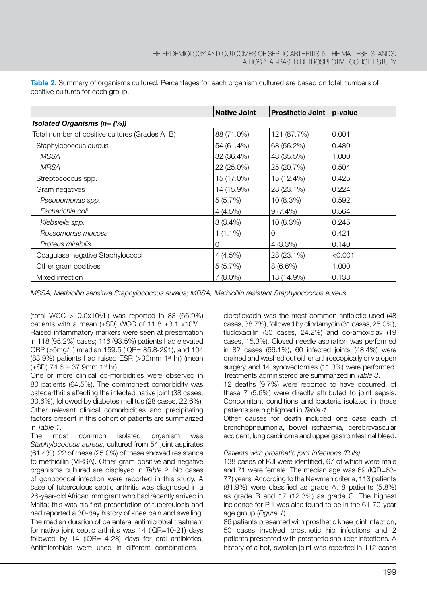|                                                  | <b>Native Joint</b> | Prosthetic Joint   p-value |         |  |
|--------------------------------------------------|---------------------|----------------------------|---------|--|
| <b>Isolated Organisms (n= <math>(\%)</math>)</b> |                     |                            |         |  |
| Total number of positive cultures (Grades A+B)   | 88 (71.0%)          | 121 (87.7%)                | 0.001   |  |
| Staphylococcus aureus                            | 54 (61.4%)          | 68 (56.2%)                 | 0.480   |  |
| <b>MSSA</b>                                      | 32 (36.4%)          | 43 (35.5%)                 | 1.000   |  |
| <b>MRSA</b>                                      | 22 (25.0%)          | 25 (20.7%)                 | 0.504   |  |
| Streptococcus spp.                               | 15 (17.0%)          | 15 (12.4%)                 | 0.425   |  |
| Gram negatives                                   | 14 (15.9%)          | 28 (23.1%)                 | 0.224   |  |
| Pseudomonas spp.                                 | 5(5.7%)             | 10 (8.3%)                  | 0.592   |  |
| Escherichia coli                                 | 4(4.5%)             | $9(7.4\%)$                 | 0.564   |  |
| Klebsiella spp.                                  | 3(3.4%)             | 10 (8.3%)                  | 0.245   |  |
| Roseomonas mucosa                                | $1(1.1\%)$          | $\Omega$                   | 0.421   |  |
| Proteus mirabilis                                | $\Omega$            | 4(3.3%)                    | 0.140   |  |
| Coagulase negative Staphylococci                 | 4(4.5%)             | 28 (23.1%)                 | < 0.001 |  |
| Other gram positives                             | 5(5.7%)             | $8(6.6\%)$                 | 1.000   |  |
| Mixed infection                                  | $7(8.0\%)$          | 18 (14.9%)                 | 0.138   |  |

**Table 2.** Summary of organisms cultured. Percentages for each organism cultured are based on total numbers of positive cultures for each group.

*MSSA, Methicillin sensitive Staphylococcus aureus; MRSA, Methicillin resistant Staphylococcus aureus.*

(total WCC  $>10.0x10^9/L$ ) was reported in 83 (66.9%) patients with a mean  $(\pm SD)$  WCC of 11.8  $\pm 3.1$  x10<sup>9</sup>/L. Raised inflammatory markers were seen at presentation in 118 (95.2%) cases; 116 (93.5%) patients had elevated CRP (>5mg/L) (median 159.5 (IQR= 85.8-291); and 104 (83.9%) patients had raised ESR (>30mm 1st hr) (mean  $(\pm SD)$  74.6  $\pm$  37.9mm 1st hr).

One or more clinical co-morbidities were observed in 80 patients (64.5%). The commonest comorbidity was osteoarthritis affecting the infected native joint (38 cases, 30.6%), followed by diabetes mellitus (28 cases, 22.6%). Other relevant clinical comorbidities and precipitating factors present in this cohort of patients are summarized in *Table 1*.

The most common isolated organism was *Staphylococcus aureus*, cultured from 54 joint aspirates (61.4%). 22 of these (25.0%) of these showed resistance to methicillin (MRSA). Other gram positive and negative organisms cultured are displayed in *Table 2*. No cases of gonococcal infection were reported in this study. A case of tuberculous septic arthritis was diagnosed in a 26-year-old African immigrant who had recently arrived in Malta; this was his first presentation of tuberculosis and had reported a 30-day history of knee pain and swelling. The median duration of parenteral antimicrobial treatment for native joint septic arthritis was 14 (IQR=10-21) days followed by 14 (IQR=14-28) days for oral antibiotics. Antimicrobials were used in different combinations -

ciprofloxacin was the most common antibiotic used (48 cases, 38.7%), followed by clindamycin (31 cases, 25.0%), flucloxacillin (30 cases, 24.2%) and co-amoxiclav (19 cases, 15.3%). Closed needle aspiration was performed in 82 cases (66.1%); 60 infected joints (48.4%) were drained and washed out either arthroscopically or via open surgery and 14 synovectomies (11.3%) were performed. Treatments administered are summarized in *Table 3*.

12 deaths (9.7%) were reported to have occurred, of these 7 (5.6%) were directly attributed to joint sepsis. Concomitant conditions and bacteria isolated in these patients are highlighted in *Table 4*.

Other causes for death included one case each of bronchopneumonia, bowel ischaemia, cerebrovascular accident, lung carcinoma and upper gastrointestinal bleed.

#### *Patients with prosthetic joint infections (PJIs)*

138 cases of PJI were identified, 67 of which were male and 71 were female. The median age was 69 (IQR=63- 77) years. According to the Newman criteria, 113 patients (81.9%) were classified as grade A, 8 patients (5.8%) as grade B and 17 (12.3%) as grade C. The highest incidence for PJI was also found to be in the 61-70-year age group (*Figure 1*).

86 patients presented with prosthetic knee joint infection, 50 cases involved prosthetic hip infections and 2 patients presented with prosthetic shoulder infections. A history of a hot, swollen joint was reported in 112 cases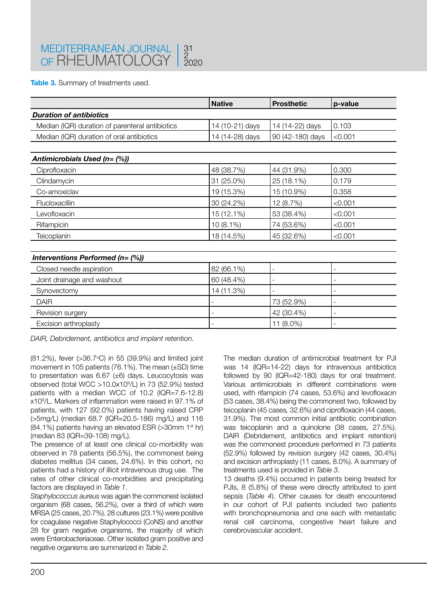**Table 3.** Summary of treatments used.

|                                                 | <b>Native</b>   | <b>Prosthetic</b> | p-value |
|-------------------------------------------------|-----------------|-------------------|---------|
| <b>Duration of antibiotics</b>                  |                 |                   |         |
| Median (IQR) duration of parenteral antibiotics | 14 (10-21) days | 14 (14-22) days   | 0.103   |
| Median (IQR) duration of oral antibiotics       | 14 (14-28) days | 90 (42-180) days  | < 0.001 |
|                                                 |                 |                   |         |
| Antimicrobials Used (n= (%))                    |                 |                   |         |
| Ciprofloxacin                                   | 48 (38.7%)      | 44 (31.9%)        | 0.300   |
| Clindamycin                                     | 31 (25.0%)      | 25 (18.1%)        | 0.179   |
| Co-amoxiclav                                    | 19 (15.3%)      | 15 (10.9%)        | 0.358   |
| Flucloxacillin                                  | 30 (24.2%)      | 12 (8.7%)         | < 0.001 |
| Levofloxacin                                    | 15 (12.1%)      | 53 (38.4%)        | < 0.001 |
| Rifampicin                                      | $10(8.1\%)$     | 74 (53.6%)        | < 0.001 |
| Teicoplanin                                     | 18 (14.5%)      | 45 (32.6%)        | < 0.001 |
|                                                 |                 |                   |         |
| Interventions Performed (n= (%))                |                 |                   |         |
| Closed needle aspiration                        | 82 (66.1%)      |                   |         |
| Joint drainage and washout                      | 60 (48.4%)      |                   |         |
| Synovectomy                                     | 14 (11.3%)      |                   |         |
| <b>DAIR</b>                                     |                 | 73 (52.9%)        |         |
| Revision surgery                                |                 | 42 (30.4%)        |         |
| Excision arthroplasty                           |                 | 11 (8.0%)         |         |

*DAIR, Debridement, antibiotics and implant retention.*

(81.2%), fever (>36.7°C) in 55 (39.9%) and limited joint movement in 105 patients (76.1%). The mean (±SD) time to presentation was 6.67 (±6) days. Leucocytosis was observed (total WCC >10.0x109 /L) in 73 (52.9%) tested patients with a median WCC of 10.2 (IQR=7.6-12.8) x109 /L. Markers of inflammation were raised in 97.1% of patients, with 127 (92.0%) patients having raised CRP (>5mg/L) (median 68.7 (IQR=20.5-186) mg/L) and 116 (84.1%) patients having an elevated ESR (>30mm 1st hr) (median 83 (IQR=39-108) mg/L).

The presence of at least one clinical co-morbidity was observed in 78 patients (56.5%), the commonest being diabetes mellitus (34 cases, 24.6%). In this cohort, no patients had a history of illicit intravenous drug use. The rates of other clinical co-morbidities and precipitating factors are displayed in *Table 1*.

*Staphylococcus aureus* was again the commonest isolated organism (68 cases, 56.2%), over a third of which were MRSA (25 cases, 20.7%). 28 cultures (23.1%) were positive for coagulase negative Staphylococci (CoNS) and another 28 for gram negative organisms, the majority of which were Enterobacteriaceae. Other isolated gram positive and negative organisms are summarized in *Table 2*.

The median duration of antimicrobial treatment for PJI was 14 (IQR=14-22) days for intravenous antibiotics followed by 90 (IQR=42-180) days for oral treatment. Various antimicrobials in different combinations were used, with rifampicin (74 cases, 53.6%) and levofloxacin (53 cases, 38.4%) being the commonest two, followed by teicoplanin (45 cases*,* 32.6%) and ciprofloxacin (44 cases, 31.9%). The most common initial antibiotic combination was teicoplanin and a quinolone (38 cases, 27.5%). DAIR (Debridement, antibiotics and implant retention) was the commonest procedure performed in 73 patients (52.9%) followed by revision surgery (42 cases, 30.4%) and excision arthroplasty (11 cases, 8.0%). A summary of treatments used is provided in *Table 3*.

13 deaths (9.4%) occurred in patients being treated for PJIs, 8 (5.8%) of these were directly attributed to joint sepsis (*Table 4*). Other causes for death encountered in our cohort of PJI patients included two patients with bronchopneumonia and one each with metastatic renal cell carcinoma, congestive heart failure and cerebrovascular accident.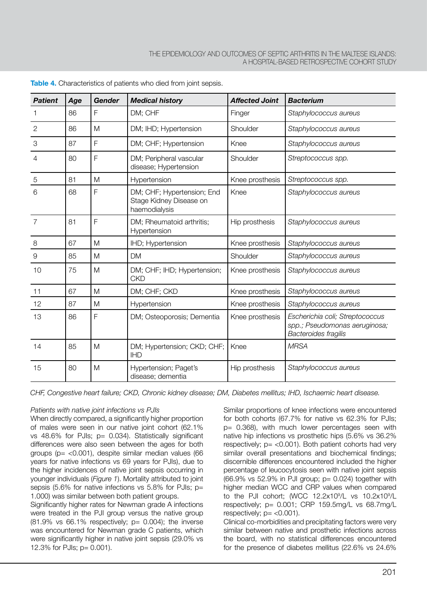| <b>Patient</b> | Age | <b>Gender</b> | <b>Medical history</b>                                                 | <b>Affected Joint</b> | <b>Bacterium</b>                                                                         |
|----------------|-----|---------------|------------------------------------------------------------------------|-----------------------|------------------------------------------------------------------------------------------|
|                | 86  | F             | DM; CHF                                                                | Finger                | Staphylococcus aureus                                                                    |
| 2              | 86  | M             | DM; IHD; Hypertension                                                  | Shoulder              | Staphylococcus aureus                                                                    |
| 3              | 87  | F             | DM; CHF; Hypertension                                                  | Knee                  | Staphylococcus aureus                                                                    |
| 4              | 80  | F             | DM; Peripheral vascular<br>disease; Hypertension                       | Shoulder              | Streptococcus spp.                                                                       |
| 5              | 81  | M             | Hypertension                                                           | Knee prosthesis       | Streptococcus spp.                                                                       |
| 6              | 68  | F             | DM; CHF; Hypertension; End<br>Stage Kidney Disease on<br>haemodialysis | Knee                  | Staphylococcus aureus                                                                    |
| $\overline{7}$ | 81  | F             | DM; Rheumatoid arthritis;<br>Hypertension                              | Hip prosthesis        | Staphylococcus aureus                                                                    |
| 8              | 67  | M             | IHD; Hypertension                                                      | Knee prosthesis       | Staphylococcus aureus                                                                    |
| 9              | 85  | M             | DM                                                                     | Shoulder              | Staphylococcus aureus                                                                    |
| 10             | 75  | M             | DM; CHF; IHD; Hypertension;<br><b>CKD</b>                              | Knee prosthesis       | Staphylococcus aureus                                                                    |
| 11             | 67  | M             | DM; CHF; CKD                                                           | Knee prosthesis       | Staphylococcus aureus                                                                    |
| 12             | 87  | M             | Hypertension                                                           | Knee prosthesis       | Staphylococcus aureus                                                                    |
| 13             | 86  | F             | DM; Osteoporosis; Dementia                                             | Knee prosthesis       | Escherichia coli; Streptococcus<br>spp.; Pseudomonas aeruginosa;<br>Bacteroides fragilis |
| 14             | 85  | M             | DM; Hypertension; CKD; CHF;<br><b>IHD</b>                              | Knee                  | <b>MRSA</b>                                                                              |
| 15             | 80  | M             | Hypertension; Paget's<br>disease; dementia                             | Hip prosthesis        | Staphylococcus aureus                                                                    |

**Table 4.** Characteristics of patients who died from joint sepsis.

*CHF, Congestive heart failure; CKD, Chronic kidney disease; DM, Diabetes mellitus; IHD, Ischaemic heart disease.*

#### *Patients with native joint infections vs PJIs*

When directly compared, a significantly higher proportion of males were seen in our native joint cohort (62.1% vs 48.6% for PJIs; p= 0.034). Statistically significant differences were also seen between the ages for both groups ( $p = < 0.001$ ), despite similar median values (66 years for native infections vs 69 years for PJIs), due to the higher incidences of native joint sepsis occurring in younger individuals (*Figure 1*). Mortality attributed to joint sepsis (5.6% for native infections vs 5.8% for PJIs; p= 1.000) was similar between both patient groups.

Significantly higher rates for Newman grade A infections were treated in the PJI group versus the native group  $(81.9\% \text{ vs } 66.1\% \text{ respectively: } p = 0.004$ ); the inverse was encountered for Newman grade C patients, which were significantly higher in native joint sepsis (29.0% vs 12.3% for PJIs; p= 0.001).

Similar proportions of knee infections were encountered for both cohorts (67.7% for native vs 62.3% for PJIs; p= 0.368), with much lower percentages seen with native hip infections vs prosthetic hips (5.6% vs 36.2% respectively:  $p = < 0.001$ ). Both patient cohorts had very similar overall presentations and biochemical findings; discernible differences encountered included the higher percentage of leucocytosis seen with native joint sepsis  $(66.9\% \text{ vs } 52.9\% \text{ in PJI group}; p= 0.024)$  together with higher median WCC and CRP values when compared to the PJI cohort; (WCC  $12.2 \times 10^9$ /L vs  $10.2 \times 10^9$ /L respectively; p= 0.001; CRP 159.5mg/L vs 68.7mg/L respectively;  $p = <0.001$ ).

Clinical co-morbidities and precipitating factors were very similar between native and prosthetic infections across the board, with no statistical differences encountered for the presence of diabetes mellitus (22.6% vs 24.6%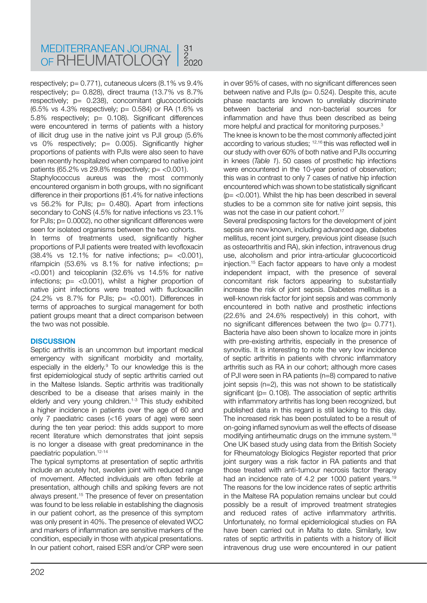respectively;  $p = 0.771$ ), cutaneous ulcers  $(8.1\% \text{ vs } 9.4\%)$ respectively; p= 0.828), direct trauma (13.7% vs 8.7% respectively; p= 0.238), concomitant glucocorticoids (6.5% vs 4.3% respectively; p= 0.584) or RA (1.6% vs 5.8% respectively; p= 0.108). Significant differences were encountered in terms of patients with a history of illicit drug use in the native joint vs PJI group (5.6% vs 0% respectively; p= 0.005). Significantly higher proportions of patients with PJIs were also seen to have been recently hospitalized when compared to native joint patients (65.2% vs 29.8% respectively;  $p = <0.001$ ).

Staphylococcus aureus was the most commonly encountered organism in both groups, with no significant difference in their proportions (61.4% for native infections vs 56.2% for PJIs; p= 0.480). Apart from infections secondary to CoNS (4.5% for native infections vs 23.1% for PJIs;  $p = 0.0002$ ), no other significant differences were seen for isolated organisms between the two cohorts.

In terms of treatments used, significantly higher proportions of PJI patients were treated with levofloxacin  $(38.4\% \text{ vs } 12.1\% \text{ for native infections; p= <0.001).}$ rifampicin (53.6% vs  $8.1\%$  for native infections; p= <0.001) and teicoplanin (32.6% vs 14.5% for native infections;  $p=$  <0.001), whilst a higher proportion of native joint infections were treated with flucloxacillin (24.2% vs  $8.7\%$  for PJIs;  $p=$  <0.001). Differences in terms of approaches to surgical management for both patient groups meant that a direct comparison between the two was not possible.

#### **DISCUSSION**

Septic arthritis is an uncommon but important medical emergency with significant morbidity and mortality, especially in the elderly.<sup>9</sup> To our knowledge this is the first epidemiological study of septic arthritis carried out in the Maltese Islands. Septic arthritis was traditionally described to be a disease that arises mainly in the elderly and very young children.<sup>1-3</sup> This study exhibited a higher incidence in patients over the age of 60 and only 7 paediatric cases (<16 years of age) were seen during the ten year period: this adds support to more recent literature which demonstrates that joint sepsis is no longer a disease with great predominance in the paediatric population.12-14

The typical symptoms at presentation of septic arthritis include an acutely hot, swollen joint with reduced range of movement. Affected individuals are often febrile at presentation, although chills and spiking fevers are not always present.15 The presence of fever on presentation was found to be less reliable in establishing the diagnosis in our patient cohort, as the presence of this symptom was only present in 40%. The presence of elevated WCC and markers of inflammation are sensitive markers of the condition, especially in those with atypical presentations. In our patient cohort, raised ESR and/or CRP were seen

in over 95% of cases, with no significant differences seen between native and PJIs ( $p= 0.524$ ). Despite this, acute phase reactants are known to unreliably discriminate between bacterial and non-bacterial sources for inflammation and have thus been described as being more helpful and practical for monitoring purposes.<sup>3</sup>

The knee is known to be the most commonly affected joint according to various studies; 12,16 this was reflected well in our study with over 60% of both native and PJIs occurring in knees (*Table 1*). 50 cases of prosthetic hip infections were encountered in the 10-year period of observation; this was in contrast to only 7 cases of native hip infection encountered which was shown to be statistically significant ( $p = < 0.001$ ). Whilst the hip has been described in several studies to be a common site for native joint sepsis, this was not the case in our patient cohort.<sup>17</sup>

Several predisposing factors for the development of joint sepsis are now known, including advanced age, diabetes mellitus, recent joint surgery, previous joint disease (such as osteoarthritis and RA), skin infection, intravenous drug use, alcoholism and prior intra-articular glucocorticoid injection.15 Each factor appears to have only a modest independent impact, with the presence of several concomitant risk factors appearing to substantially increase the risk of joint sepsis. Diabetes mellitus is a well-known risk factor for joint sepsis and was commonly encountered in both native and prosthetic infections (22.6% and 24.6% respectively) in this cohort, with no significant differences between the two ( $p= 0.771$ ). Bacteria have also been shown to localize more in joints with pre-existing arthritis, especially in the presence of synovitis. It is interesting to note the very low incidence of septic arthritis in patients with chronic inflammatory arthritis such as RA in our cohort; although more cases of PJI were seen in RA patients (n=8) compared to native joint sepsis (n=2), this was not shown to be statistically significant ( $p = 0.108$ ). The association of septic arthritis with inflammatory arthritis has long been recognized, but published data in this regard is still lacking to this day. The increased risk has been postulated to be a result of on-going inflamed synovium as well the effects of disease modifying antirheumatic drugs on the immune system.<sup>18</sup> One UK based study using data from the British Society for Rheumatology Biologics Register reported that prior joint surgery was a risk factor in RA patients and that those treated with anti-tumour necrosis factor therapy had an incidence rate of 4.2 per 1000 patient years.<sup>19</sup> The reasons for the low incidence rates of septic arthritis in the Maltese RA population remains unclear but could possibly be a result of improved treatment strategies and reduced rates of active inflammatory arthritis. Unfortunately, no formal epidemiological studies on RA have been carried out in Malta to date. Similarly, low rates of septic arthritis in patients with a history of illicit intravenous drug use were encountered in our patient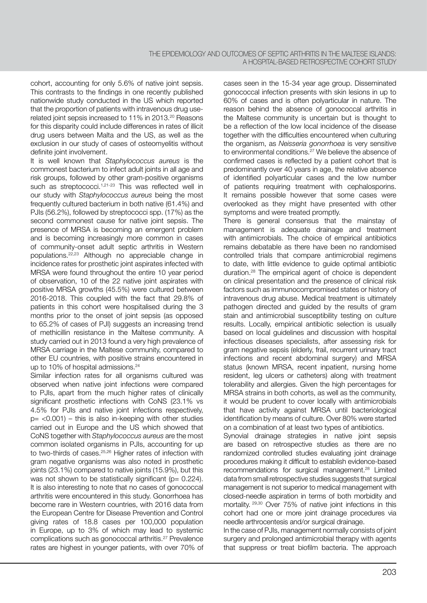cohort, accounting for only 5.6% of native joint sepsis. This contrasts to the findings in one recently published nationwide study conducted in the US which reported that the proportion of patients with intravenous drug userelated joint sepsis increased to 11% in 2013.20 Reasons for this disparity could include differences in rates of illicit drug users between Malta and the US, as well as the exclusion in our study of cases of osteomyelitis without definite joint involvement.

It is well known that *Staphylococcus aureus* is the commonest bacterium to infect adult joints in all age and risk groups, followed by other gram-positive organisms such as streptococci.<sup>1,21-23</sup> This was reflected well in our study with *Staphylococcus aureus* being the most frequently cultured bacterium in both native (61.4%) and PJIs (56.2%), followed by streptococci spp. (17%) as the second commonest cause for native joint sepsis. The presence of MRSA is becoming an emergent problem and is becoming increasingly more common in cases of community-onset adult septic arthritis in Western populations.22,23 Although no appreciable change in incidence rates for prosthetic joint aspirates infected with MRSA were found throughout the entire 10 year period of observation, 10 of the 22 native joint aspirates with positive MRSA growths (45.5%) were cultured between 2016-2018. This coupled with the fact that 29.8% of patients in this cohort were hospitalised during the 3 months prior to the onset of joint sepsis (as opposed to 65.2% of cases of PJI) suggests an increasing trend of methicillin resistance in the Maltese community. A study carried out in 2013 found a very high prevalence of MRSA carriage in the Maltese community, compared to other EU countries, with positive strains encountered in up to 10% of hospital admissions.<sup>24</sup>

Similar infection rates for all organisms cultured was observed when native joint infections were compared to PJIs, apart from the much higher rates of clinically significant prosthetic infections with CoNS (23.1% vs 4.5% for PJIs and native joint infections respectively,  $p=$  <0.001) – this is also in-keeping with other studies carried out in Europe and the US which showed that CoNS together with *Staphylococcus aureus* are the most common isolated organisms in PJIs, accounting for up to two-thirds of cases.25,26 Higher rates of infection with gram negative organisms was also noted in prosthetic joints (23.1%) compared to native joints (15.9%), but this was not shown to be statistically significant ( $p= 0.224$ ). It is also interesting to note that no cases of gonococcal arthritis were encountered in this study. Gonorrhoea has become rare in Western countries, with 2016 data from the European Centre for Disease Prevention and Control giving rates of 18.8 cases per 100,000 population in Europe, up to 3% of which may lead to systemic complications such as gonococcal arthritis.27 Prevalence rates are highest in younger patients, with over 70% of cases seen in the 15-34 year age group. Disseminated gonococcal infection presents with skin lesions in up to 60% of cases and is often polyarticular in nature. The reason behind the absence of gonococcal arthritis in the Maltese community is uncertain but is thought to be a reflection of the low local incidence of the disease together with the difficulties encountered when culturing the organism, as *Neisseria gonorrhoea* is very sensitive to environmental conditions.<sup>27</sup> We believe the absence of confirmed cases is reflected by a patient cohort that is predominantly over 40 years in age, the relative absence of identified polyarticular cases and the low number of patients requiring treatment with cephalosporins. It remains possible however that some cases were overlooked as they might have presented with other symptoms and were treated promptly.

There is general consensus that the mainstay of management is adequate drainage and treatment with antimicrobials. The choice of empirical antibiotics remains debatable as there have been no randomised controlled trials that compare antimicrobial regimens to date, with little evidence to guide optimal antibiotic duration.28 The empirical agent of choice is dependent on clinical presentation and the presence of clinical risk factors such as immunocompromised states or history of intravenous drug abuse. Medical treatment is ultimately pathogen directed and guided by the results of gram stain and antimicrobial susceptibility testing on culture results. Locally, empirical antibiotic selection is usually based on local guidelines and discussion with hospital infectious diseases specialists, after assessing risk for gram negative sepsis (elderly, frail, recurrent urinary tract infections and recent abdominal surgery) and MRSA status (known MRSA, recent inpatient, nursing home resident, leg ulcers or catheters) along with treatment tolerability and allergies. Given the high percentages for MRSA strains in both cohorts, as well as the community, it would be prudent to cover locally with antimicrobials that have activity against MRSA until bacteriological identification by means of culture. Over 80% were started on a combination of at least two types of antibiotics.

Synovial drainage strategies in native joint sepsis are based on retrospective studies as there are no randomized controlled studies evaluating joint drainage procedures making it difficult to establish evidence-based recommendations for surgical management.28 Limited data from small retrospective studies suggests that surgical management is not superior to medical management with closed-needle aspiration in terms of both morbidity and mortality. 29,30 Over 75% of native joint infections in this cohort had one or more joint drainage procedures via needle arthrocentesis and/or surgical drainage.

In the case of PJIs, management normally consists of joint surgery and prolonged antimicrobial therapy with agents that suppress or treat biofilm bacteria. The approach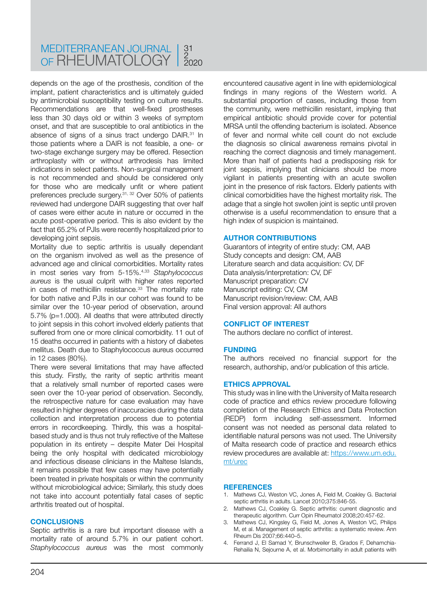depends on the age of the prosthesis, condition of the implant, patient characteristics and is ultimately guided by antimicrobial susceptibility testing on culture results. Recommendations are that well-fixed prostheses less than 30 days old or within 3 weeks of symptom onset, and that are susceptible to oral antibiotics in the absence of signs of a sinus tract undergo DAIR.<sup>31</sup> In those patients where a DAIR is not feasible, a one- or two-stage exchange surgery may be offered. Resection arthroplasty with or without arthrodesis has limited indications in select patients. Non-surgical management is not recommended and should be considered only for those who are medically unfit or where patient preferences preclude surgery.31, 32 Over 50% of patients reviewed had undergone DAIR suggesting that over half of cases were either acute in nature or occurred in the acute post-operative period. This is also evident by the fact that 65.2% of PJIs were recently hospitalized prior to developing joint sepsis.

Mortality due to septic arthritis is usually dependant on the organism involved as well as the presence of advanced age and clinical comorbidities. Mortality rates in most series vary from 5-15%.4,33 *Staphylococcus aureus* is the usual culprit with higher rates reported in cases of methicillin resistance.<sup>33</sup> The mortality rate for both native and PJIs in our cohort was found to be similar over the 10-year period of observation, around 5.7% (p=1.000). All deaths that were attributed directly to joint sepsis in this cohort involved elderly patients that suffered from one or more clinical comorbidity. 11 out of 15 deaths occurred in patients with a history of diabetes mellitus. Death due to Staphylococcus aureus occurred in 12 cases (80%).

There were several limitations that may have affected this study. Firstly, the rarity of septic arthritis meant that a relatively small number of reported cases were seen over the 10-year period of observation. Secondly, the retrospective nature for case evaluation may have resulted in higher degrees of inaccuracies during the data collection and interpretation process due to potential errors in recordkeeping. Thirdly, this was a hospitalbased study and is thus not truly reflective of the Maltese population in its entirety – despite Mater Dei Hospital being the only hospital with dedicated microbiology and infectious disease clinicians in the Maltese Islands, it remains possible that few cases may have potentially been treated in private hospitals or within the community without microbiological advice; Similarly, this study does not take into account potentially fatal cases of septic arthritis treated out of hospital.

#### **CONCLUSIONS**

Septic arthritis is a rare but important disease with a mortality rate of around 5.7% in our patient cohort. *Staphylococcus aureus* was the most commonly encountered causative agent in line with epidemiological findings in many regions of the Western world. A substantial proportion of cases, including those from the community, were methicillin resistant, implying that empirical antibiotic should provide cover for potential MRSA until the offending bacterium is isolated. Absence of fever and normal white cell count do not exclude the diagnosis so clinical awareness remains pivotal in reaching the correct diagnosis and timely management. More than half of patients had a predisposing risk for joint sepsis, implying that clinicians should be more vigilant in patients presenting with an acute swollen joint in the presence of risk factors. Elderly patients with clinical comorbidities have the highest mortality risk. The adage that a single hot swollen joint is septic until proven otherwise is a useful recommendation to ensure that a high index of suspicion is maintained.

#### **AUTHOR CONTRIBUTIONS**

Guarantors of integrity of entire study: CM, AAB Study concepts and design: CM, AAB Literature search and data acquisition: CV, DF Data analysis/interpretation: CV, DF Manuscript preparation: CV Manuscript editing: CV, CM Manuscript revision/review: CM, AAB Final version approval: All authors

#### **CONFLICT OF INTEREST**

The authors declare no conflict of interest.

#### **FUNDING**

The authors received no financial support for the research, authorship, and/or publication of this article.

#### **ETHICS APPROVAL**

This study was in line with the University of Malta research code of practice and ethics review procedure following completion of the Research Ethics and Data Protection (REDP) form including self-assessment. Informed consent was not needed as personal data related to identifiable natural persons was not used. The University of Malta research code of practice and research ethics review procedures are available at: [https://www.um.edu.](https://www.um.edu.mt/urec) [mt/urec](https://www.um.edu.mt/urec)

#### **REFERENCES**

- 1. Mathews CJ, Weston VC, Jones A, Field M, Coakley G. Bacterial septic arthritis in adults. Lancet 2010;375:846-55.
- 2. Mathews CJ, Coakley G. Septic arthritis: current diagnostic and therapeutic algorithm. Curr Opin Rheumatol 2008;20:457-62.
- 3. Mathews CJ, Kingsley G, Field M, Jones A, Weston VC, Philips M, et al. Management of septic arthritis: a systematic review. Ann Rheum Dis 2007;66:440–5.
- 4. Ferrand J, El Samad Y, Brunschweiler B, Grados F, Dehamchia-Rehailia N, Sejourne A, et al. Morbimortality in adult patients with